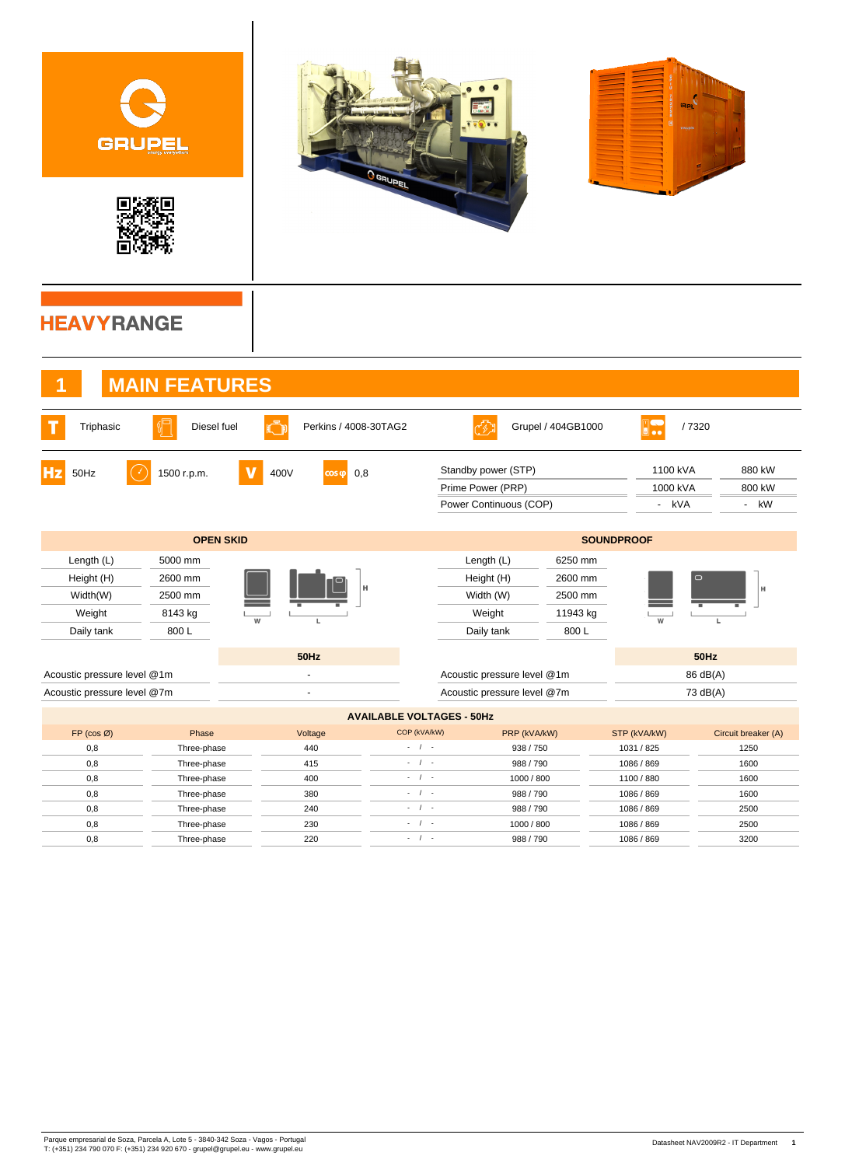| GRUPEL                                                       |                                                  |                               | <b>O GRUPEL</b>                                                                                                                   |                                                                    |                                                   |                               |                                                    |
|--------------------------------------------------------------|--------------------------------------------------|-------------------------------|-----------------------------------------------------------------------------------------------------------------------------------|--------------------------------------------------------------------|---------------------------------------------------|-------------------------------|----------------------------------------------------|
| <b>HEAVYRANGE</b>                                            |                                                  |                               |                                                                                                                                   |                                                                    |                                                   |                               |                                                    |
|                                                              | <b>MAIN FEATURES</b>                             |                               |                                                                                                                                   |                                                                    |                                                   |                               |                                                    |
| Triphasic                                                    | Diesel fuel                                      | Perkins / 4008-30TAG2         |                                                                                                                                   |                                                                    | Grupel / 404GB1000                                | D.                            | /7320                                              |
| Hz<br>50Hz                                                   | 1500 r.p.m.                                      | 400V<br>0,8<br>$\cos \varphi$ |                                                                                                                                   | Standby power (STP)<br>Prime Power (PRP)<br>Power Continuous (COP) |                                                   | 1100 kVA<br>1000 kVA<br>- kVA | 880 kW<br>800 kW<br>kW<br>$\overline{\phantom{a}}$ |
|                                                              | <b>OPEN SKID</b>                                 |                               |                                                                                                                                   |                                                                    |                                                   | <b>SOUNDPROOF</b>             |                                                    |
| Length (L)<br>Height (H)<br>Width(W)<br>Weight<br>Daily tank | 5000 mm<br>2600 mm<br>2500 mm<br>8143 kg<br>800L | W<br>L                        |                                                                                                                                   | Length (L)<br>Height (H)<br>Width (W)<br>Weight<br>Daily tank      | 6250 mm<br>2600 mm<br>2500 mm<br>11943 kg<br>800L | W                             | H<br>L                                             |
|                                                              |                                                  | <b>50Hz</b>                   |                                                                                                                                   |                                                                    |                                                   |                               | 50Hz                                               |
| Acoustic pressure level @1m                                  |                                                  | $\sim$                        |                                                                                                                                   | Acoustic pressure level @1m                                        |                                                   |                               | 86 dB(A)                                           |
| Acoustic pressure level @7m                                  |                                                  | $\mathbf{r}$                  |                                                                                                                                   | Acoustic pressure level @7m                                        |                                                   |                               | 73 dB(A)                                           |
|                                                              |                                                  |                               | <b>AVAILABLE VOLTAGES - 50Hz</b>                                                                                                  |                                                                    |                                                   |                               |                                                    |
| $FP (cos \emptyset)$                                         | Phase                                            | Voltage                       | COP (kVA/kW)                                                                                                                      | PRP (kVA/kW)                                                       |                                                   | STP (kVA/kW)                  | Circuit breaker (A)                                |
| 0,8                                                          | Three-phase                                      | 440                           | $-1$<br>$\frac{1}{2} \left( \frac{1}{2} \right) \left( \frac{1}{2} \right) \left( \frac{1}{2} \right) \left( \frac{1}{2} \right)$ | 938 / 750                                                          |                                                   | 1031 / 825                    | 1250                                               |
| 0,8<br>0,8                                                   | Three-phase<br>Three-phase                       | 415<br>400                    | $\frac{1}{2} \left( \frac{1}{2} \right) \left( \frac{1}{2} \right) \left( \frac{1}{2} \right) \left( \frac{1}{2} \right)$         | 988 / 790<br>1000 / 800                                            |                                                   | 1086 / 869<br>1100 / 880      | 1600<br>1600                                       |
| 0,8                                                          | Three-phase                                      | 380                           | $-1$                                                                                                                              | 988 / 790                                                          |                                                   | 1086 / 869                    | 1600                                               |
| 0,8                                                          | Three-phase                                      | 240                           | $-1$                                                                                                                              | 988 / 790                                                          |                                                   | 1086 / 869                    | 2500                                               |
| 0,8                                                          | Three-phase                                      | 230                           | $-1$                                                                                                                              | 1000 / 800                                                         |                                                   | 1086 / 869                    | 2500                                               |
| 0,8                                                          | Three-phase                                      | 220                           | $\sim$ $-$ / $ \sim$                                                                                                              | 988 / 790                                                          |                                                   | 1086 / 869                    | 3200                                               |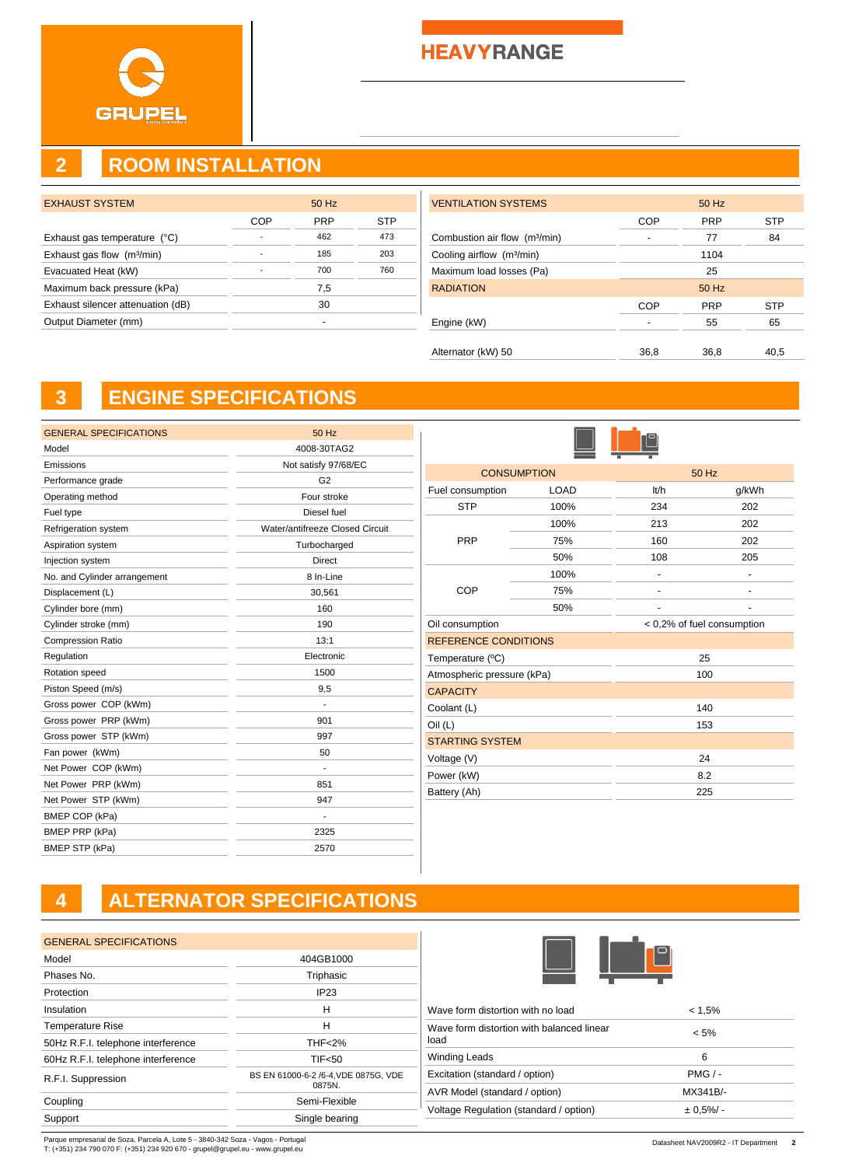### **HEAVYRANGE**

## **2 ROOM INSTALLATION**

| <b>EXHAUST SYSTEM</b>                  |     | 50 Hz      |     |
|----------------------------------------|-----|------------|-----|
|                                        | COP | <b>PRP</b> | STP |
| Exhaust gas temperature (°C)           |     | 462        | 473 |
| Exhaust gas flow (m <sup>3</sup> /min) |     | 185        | 203 |
| Evacuated Heat (kW)                    |     | 700        | 760 |
| Maximum back pressure (kPa)            |     | 7,5        |     |
| Exhaust silencer attenuation (dB)      |     | 30         |     |
| Output Diameter (mm)                   |     |            |     |
|                                        |     |            |     |

| <b>VENTILATION SYSTEMS</b>                |            | 50 Hz      |            |
|-------------------------------------------|------------|------------|------------|
|                                           | <b>COP</b> | <b>PRP</b> | <b>STP</b> |
| Combustion air flow (m <sup>3</sup> /min) |            | 77         | 84         |
| Cooling airflow (m <sup>3</sup> /min)     |            | 1104       |            |
| Maximum load losses (Pa)                  |            | 25         |            |
| <b>RADIATION</b>                          |            | 50 Hz      |            |
|                                           | <b>COP</b> | <b>PRP</b> | <b>STP</b> |
| Engine (kW)                               |            | 55         | 65         |
|                                           |            |            |            |
| Alternator (kW) 50                        | 36,8       | 36,8       | 40,5       |

# **3 ENGINE SPECIFICATIONS**

| <b>GENERAL SPECIFICATIONS</b> | 50 Hz                           |
|-------------------------------|---------------------------------|
| Model                         | 4008-30TAG2                     |
| Emissions                     | Not satisfy 97/68/EC            |
| Performance grade             | G2                              |
| Operating method              | Four stroke                     |
| Fuel type                     | Diesel fuel                     |
| Refrigeration system          | Water/antifreeze Closed Circuit |
| Aspiration system             | Turbocharged                    |
| Injection system              | Direct                          |
| No. and Cylinder arrangement  | 8 In-Line                       |
| Displacement (L)              | 30,561                          |
| Cylinder bore (mm)            | 160                             |
| Cylinder stroke (mm)          | 190                             |
| <b>Compression Ratio</b>      | 13:1                            |
| Regulation                    | Electronic                      |
| Rotation speed                | 1500                            |
| Piston Speed (m/s)            | 9,5                             |
| Gross power COP (kWm)         |                                 |
| Gross power PRP (kWm)         | 901                             |
| Gross power STP (kWm)         | 997                             |
| Fan power (kWm)               | 50                              |
| Net Power COP (kWm)           | $\blacksquare$                  |
| Net Power PRP (kWm)           | 851                             |
| Net Power STP (kWm)           | 947                             |
| BMEP COP (kPa)                | $\overline{\phantom{a}}$        |
| BMEP PRP (kPa)                | 2325                            |
| BMEP STP (kPa)                | 2570                            |

|                             | <b>CONSUMPTION</b> |      | 50 Hz                      |  |
|-----------------------------|--------------------|------|----------------------------|--|
| Fuel consumption            | <b>LOAD</b>        | lt/h | g/kWh                      |  |
| <b>STP</b>                  | 100%               | 234  | 202                        |  |
|                             | 100%               | 213  | 202                        |  |
| <b>PRP</b>                  | 75%                | 160  | 202                        |  |
|                             | 50%                | 108  | 205                        |  |
|                             | 100%               |      | ۰                          |  |
| COP                         | 75%                |      |                            |  |
|                             | 50%                |      |                            |  |
| Oil consumption             |                    |      | < 0,2% of fuel consumption |  |
| <b>REFERENCE CONDITIONS</b> |                    |      |                            |  |
| Temperature (°C)            |                    |      | 25                         |  |
| Atmospheric pressure (kPa)  |                    |      | 100                        |  |
| <b>CAPACITY</b>             |                    |      |                            |  |
| Coolant (L)                 |                    |      | 140                        |  |
| Oil (L)                     |                    | 153  |                            |  |
| <b>STARTING SYSTEM</b>      |                    |      |                            |  |
| Voltage (V)                 |                    |      | 24                         |  |
| Power (kW)                  |                    |      | 8.2                        |  |
| Battery (Ah)                |                    |      | 225                        |  |

# **4 ALTERNATOR SPECIFICATIONS**

| <b>GENERAL SPECIFICATIONS</b>      |                                                |
|------------------------------------|------------------------------------------------|
| Model                              | 404GB1000                                      |
| Phases No.                         | Triphasic                                      |
| Protection                         | IP23                                           |
| Insulation                         | н                                              |
| <b>Temperature Rise</b>            | н                                              |
| 50Hz R.F.I. telephone interference | <b>THF&lt;2%</b>                               |
| 60Hz R.F.I. telephone interference | <b>TIF&lt;50</b>                               |
| R.F.I. Suppression                 | BS EN 61000-6-2 /6-4, VDE 0875G, VDE<br>0875N. |
| Coupling                           | Semi-Flexible                                  |
| Support                            | Single bearing                                 |
|                                    |                                                |



| $< 5\%$         |
|-----------------|
| 6               |
| $PMG / -$       |
| MX341B/-        |
| $\pm 0.5\%$ / - |
|                 |

Parque empresarial de Soza, Parcela A, Lote 5 - 3840-342 Soza - Vagos - Portugal T: (+351) 234 790 070 F: (+351) 234 920 670 - grupel@grupel.eu - www.grupel.eu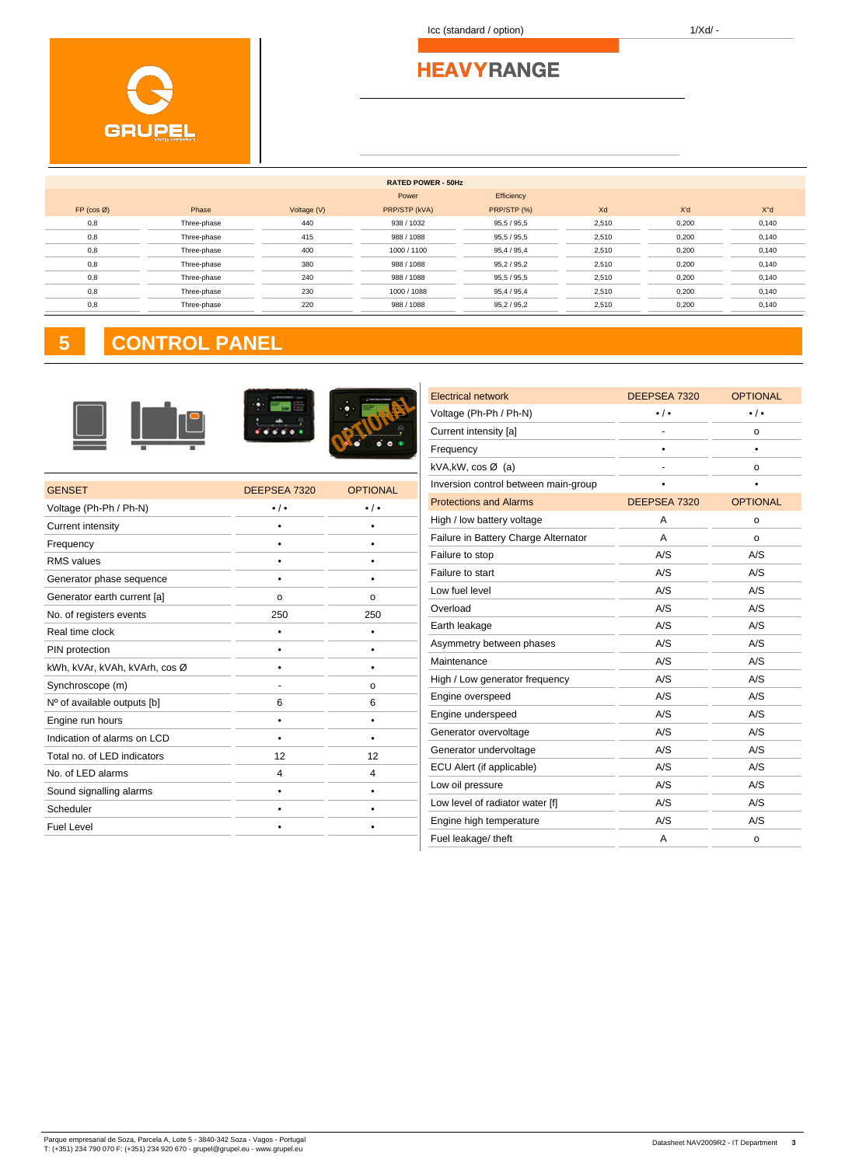Icc (standard / option) 1/Xd/ -

|                      |             |             | <b>RATED POWER - 50Hz</b> |             |       |       |       |
|----------------------|-------------|-------------|---------------------------|-------------|-------|-------|-------|
|                      |             |             | Power                     | Efficiency  |       |       |       |
| $FP (cos \emptyset)$ | Phase       | Voltage (V) | PRP/STP (kVA)             | PRP/STP (%) | Xd    | X'd   | X"d   |
| 0,8                  | Three-phase | 440         | 938 / 1032                | 95,5/95,5   | 2,510 | 0,200 | 0,140 |
| 0,8                  | Three-phase | 415         | 988 / 1088                | 95,5/95,5   | 2,510 | 0,200 | 0,140 |
| 0,8                  | Three-phase | 400         | 1000 / 1100               | 95,4 / 95,4 | 2,510 | 0,200 | 0,140 |
| 0,8                  | Three-phase | 380         | 988 / 1088                | 95,2/95,2   | 2,510 | 0,200 | 0,140 |
| 0,8                  | Three-phase | 240         | 988 / 1088                | 95,5/95,5   | 2,510 | 0,200 | 0,140 |
| 0,8                  | Three-phase | 230         | 1000 / 1088               | 95,4 / 95,4 | 2,510 | 0,200 | 0,140 |
| 0,8                  | Three-phase | 220         | 988 / 1088                | 95,2/95,2   | 2,510 | 0,200 | 0,140 |
|                      |             |             |                           |             |       |       |       |

# **5 CONTROL PANEL**



| <b>GENSET</b>                 | DEEPSEA 7320      | <b>OPTIONAL</b>       |
|-------------------------------|-------------------|-----------------------|
| Voltage (Ph-Ph / Ph-N)        | $\cdot$ / $\cdot$ | $\bullet$ / $\bullet$ |
| <b>Current intensity</b>      |                   |                       |
| Frequency                     |                   |                       |
| <b>RMS</b> values             |                   |                       |
| Generator phase sequence      |                   |                       |
| Generator earth current [a]   | $\Omega$          | o                     |
| No. of registers events       | 250               | 250                   |
| Real time clock               |                   |                       |
| PIN protection                |                   |                       |
| kWh, kVAr, kVAh, kVArh, cos Ø |                   |                       |
| Synchroscope (m)              |                   | o                     |
| Nº of available outputs [b]   | 6                 | 6                     |
| Engine run hours              | ٠                 |                       |
| Indication of alarms on LCD   |                   |                       |
| Total no. of LED indicators   | 12                | 12                    |
| No. of LED alarms             | $\overline{4}$    | 4                     |
| Sound signalling alarms       |                   |                       |
| Scheduler                     |                   |                       |
| <b>Fuel Level</b>             |                   |                       |
|                               |                   |                       |

| <b>Electrical network</b>            | DEEPSEA 7320          | <b>OPTIONAL</b>       |
|--------------------------------------|-----------------------|-----------------------|
| Voltage (Ph-Ph / Ph-N)               | $\bullet$ / $\bullet$ | $\bullet$ / $\bullet$ |
| Current intensity [a]                |                       | o                     |
| Frequency                            |                       |                       |
| kVA, kW, $cos \varnothing$ (a)       |                       | o                     |
| Inversion control between main-group |                       |                       |
| <b>Protections and Alarms</b>        | DEEPSEA 7320          | <b>OPTIONAL</b>       |
| High / low battery voltage           | А                     | o                     |
| Failure in Battery Charge Alternator | A                     | O                     |
| Failure to stop                      | A/S                   | A/S                   |
| Failure to start                     | A/S                   | A/S                   |
| Low fuel level                       | A/S                   | A/S                   |
| Overload                             | A/S                   | A/S                   |
| Earth leakage                        | A/S                   | A/S                   |
| Asymmetry between phases             | A/S                   | A/S                   |
| Maintenance                          | A/S                   | A/S                   |
| High / Low generator frequency       | A/S                   | A/S                   |
| Engine overspeed                     | A/S                   | A/S                   |
| Engine underspeed                    | A/S                   | A/S                   |
| Generator overvoltage                | A/S                   | A/S                   |
| Generator undervoltage               | A/S                   | A/S                   |
| ECU Alert (if applicable)            | A/S                   | A/S                   |
| Low oil pressure                     | A/S                   | A/S                   |
| Low level of radiator water [f]      | A/S                   | A/S                   |
| Engine high temperature              | A/S                   | A/S                   |
| Fuel leakage/ theft                  | A                     | o                     |
|                                      |                       |                       |